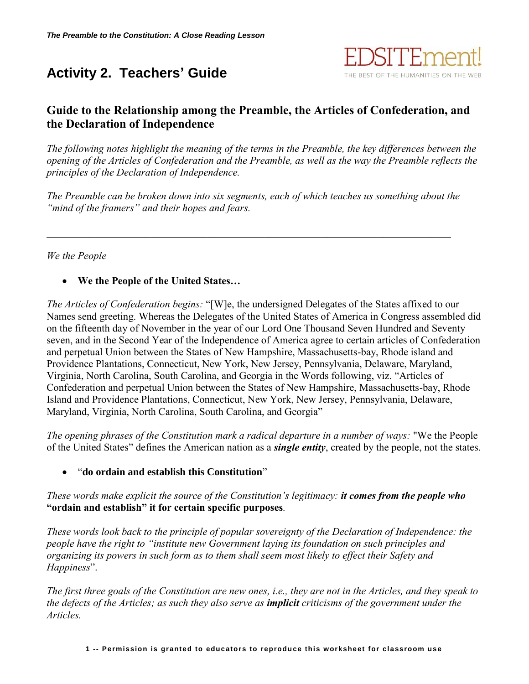# **Activity 2. Teachers' Guide**



# **Guide to the Relationship among the Preamble, the Articles of Confederation, and the Declaration of Independence**

*The following notes highlight the meaning of the terms in the Preamble, the key differences between the opening of the Articles of Confederation and the Preamble, as well as the way the Preamble reflects the principles of the Declaration of Independence.*

*The Preamble can be broken down into six segments, each of which teaches us something about the "mind of the framers" and their hopes and fears.*

 $\mathcal{L}_\mathcal{L} = \{ \mathcal{L}_\mathcal{L} = \{ \mathcal{L}_\mathcal{L} = \{ \mathcal{L}_\mathcal{L} = \{ \mathcal{L}_\mathcal{L} = \{ \mathcal{L}_\mathcal{L} = \{ \mathcal{L}_\mathcal{L} = \{ \mathcal{L}_\mathcal{L} = \{ \mathcal{L}_\mathcal{L} = \{ \mathcal{L}_\mathcal{L} = \{ \mathcal{L}_\mathcal{L} = \{ \mathcal{L}_\mathcal{L} = \{ \mathcal{L}_\mathcal{L} = \{ \mathcal{L}_\mathcal{L} = \{ \mathcal{L}_\mathcal{$ 

# *We the People*

# **We the People of the United States…**

*The Articles of Confederation begins:* "[W]e, the undersigned Delegates of the States affixed to our Names send greeting. Whereas the Delegates of the United States of America in Congress assembled did on the fifteenth day of November in the year of our Lord One Thousand Seven Hundred and Seventy seven, and in the Second Year of the Independence of America agree to certain articles of Confederation and perpetual Union between the States of New Hampshire, Massachusetts-bay, Rhode island and Providence Plantations, Connecticut, New York, New Jersey, Pennsylvania, Delaware, Maryland, Virginia, North Carolina, South Carolina, and Georgia in the Words following, viz. "Articles of Confederation and perpetual Union between the States of New Hampshire, Massachusetts-bay, Rhode Island and Providence Plantations, Connecticut, New York, New Jersey, Pennsylvania, Delaware, Maryland, Virginia, North Carolina, South Carolina, and Georgia"

*The opening phrases of the Constitution mark a radical departure in a number of ways:* "We the People of the United States" defines the American nation as a *single entity*, created by the people, not the states.

"**do ordain and establish this Constitution**"

*These words make explicit the source of the Constitution's legitimacy: it comes from the people who* **"ordain and establish" it for certain specific purposes***.* 

*These words look back to the principle of popular sovereignty of the Declaration of Independence: the people have the right to "institute new Government laying its foundation on such principles and organizing its powers in such form as to them shall seem most likely to effect their Safety and Happiness*".

*The first three goals of the Constitution are new ones, i.e., they are not in the Articles, and they speak to the defects of the Articles; as such they also serve as implicit criticisms of the government under the Articles.*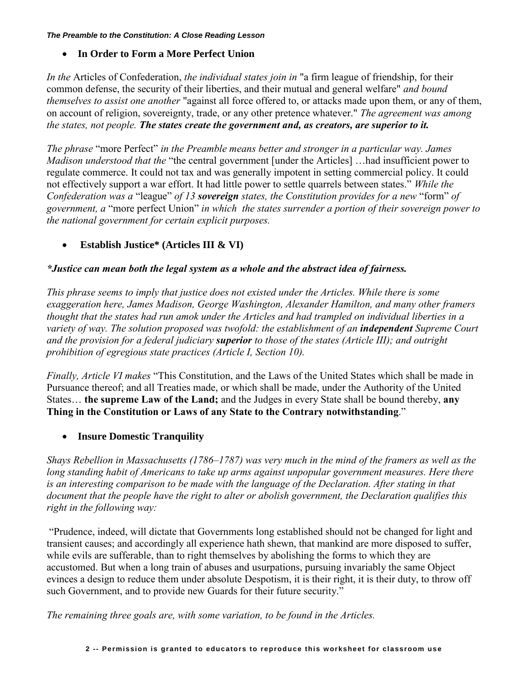#### *The Preamble to the Constitution: A Close Reading Lesson*

# **In Order to Form a More Perfect Union**

*In the* Articles of Confederation, *the individual states join in* "a firm league of friendship, for their common defense, the security of their liberties, and their mutual and general welfare" *and bound themselves to assist one another* "against all force offered to, or attacks made upon them, or any of them, on account of religion, sovereignty, trade, or any other pretence whatever." *The agreement was among the states, not people. The states create the government and, as creators, are superior to it.* 

*The phrase* "more Perfect" *in the Preamble means better and stronger in a particular way. James Madison understood that the* "the central government [under the Articles] …had insufficient power to regulate commerce. It could not tax and was generally impotent in setting commercial policy. It could not effectively support a war effort. It had little power to settle quarrels between states." *While the Confederation was a* "league" *of 13 sovereign states, the Constitution provides for a new* "form" *of government, a* "more perfect Union" *in which the states surrender a portion of their sovereign power to the national government for certain explicit purposes.* 

**Establish Justice\* (Articles III & VI)**

# *\*Justice can mean both the legal system as a whole and the abstract idea of fairness.*

*This phrase seems to imply that justice does not existed under the Articles. While there is some exaggeration here, James Madison, George Washington, Alexander Hamilton, and many other framers thought that the states had run amok under the Articles and had trampled on individual liberties in a variety of way. The solution proposed was twofold: the establishment of an <i>independent* Supreme Court *and the provision for a federal judiciary superior to those of the states (Article III); and outright prohibition of egregious state practices (Article I, Section 10).* 

*Finally, Article VI makes* "This Constitution, and the Laws of the United States which shall be made in Pursuance thereof; and all Treaties made, or which shall be made, under the Authority of the United States… **the supreme Law of the Land;** and the Judges in every State shall be bound thereby, **any Thing in the Constitution or Laws of any State to the Contrary notwithstanding**."

# **Insure Domestic Tranquility**

*Shays Rebellion in Massachusetts (1786–1787) was very much in the mind of the framers as well as the*  long standing habit of Americans to take up arms against unpopular government measures. Here there *is an interesting comparison to be made with the language of the Declaration. After stating in that document that the people have the right to alter or abolish government, the Declaration qualifies this right in the following way:*

"Prudence, indeed, will dictate that Governments long established should not be changed for light and transient causes; and accordingly all experience hath shewn, that mankind are more disposed to suffer, while evils are sufferable, than to right themselves by abolishing the forms to which they are accustomed. But when a long train of abuses and usurpations, pursuing invariably the same Object evinces a design to reduce them under absolute Despotism, it is their right, it is their duty, to throw off such Government, and to provide new Guards for their future security."

*The remaining three goals are, with some variation, to be found in the Articles.*